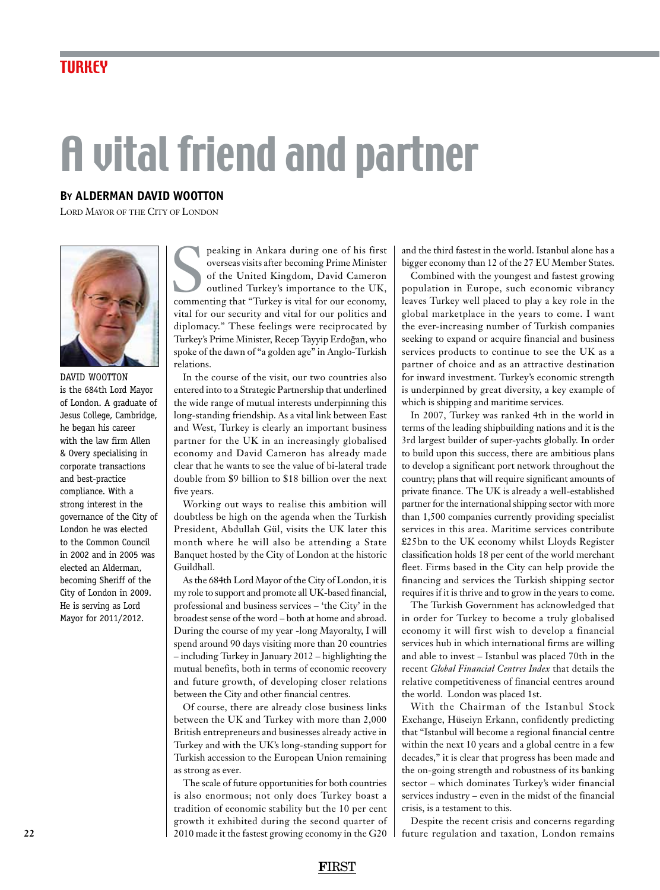## A vital friend and partner

## **By ALDERMAN David Wootton**

Lord Mayor of the City of London



DAVID WOOTTON is the 684th Lord Mayor of London. A graduate of Jesus College, Cambridge, he began his career with the law firm Allen & Overy specialising in corporate transactions and best-practice compliance. With a strong interest in the governance of the City of London he was elected to the Common Council in 2002 and in 2005 was elected an Alderman, becoming Sheriff of the City of London in 2009. He is serving as Lord Mayor for 2011/2012.

peaking in Ankara during one of his first<br>overseas visits after becoming Prime Minister<br>of the United Kingdom, David Cameron<br>outlined Turkey's importance to the UK,<br>commenting that "Turkey is vital for our economy, peaking in Ankara during one of his first overseas visits after becoming Prime Minister of the United Kingdom, David Cameron outlined Turkey's importance to the UK, vital for our security and vital for our politics and diplomacy." These feelings were reciprocated by Turkey's Prime Minister, Recep Tayyip Erdogan, who spoke of the dawn of "a golden age" in Anglo-Turkish relations.

In the course of the visit, our two countries also entered into to a Strategic Partnership that underlined the wide range of mutual interests underpinning this long-standing friendship. As a vital link between East and West, Turkey is clearly an important business partner for the UK in an increasingly globalised economy and David Cameron has already made clear that he wants to see the value of bi-lateral trade double from \$9 billion to \$18 billion over the next five years.

Working out ways to realise this ambition will doubtless be high on the agenda when the Turkish President, Abdullah Gül, visits the UK later this month where he will also be attending a State Banquet hosted by the City of London at the historic Guildhall.

As the 684th Lord Mayor of the City of London, it is my role to support and promote all UK-based financial, professional and business services – 'the City' in the broadest sense of the word – both at home and abroad. During the course of my year -long Mayoralty, I will spend around 90 days visiting more than 20 countries – including Turkey in January 2012 – highlighting the mutual benefits, both in terms of economic recovery and future growth, of developing closer relations between the City and other financial centres.

Of course, there are already close business links between the UK and Turkey with more than 2,000 British entrepreneurs and businesses already active in Turkey and with the UK's long-standing support for Turkish accession to the European Union remaining as strong as ever.

The scale of future opportunities for both countries is also enormous; not only does Turkey boast a tradition of economic stability but the 10 per cent growth it exhibited during the second quarter of 2010 made it the fastest growing economy in the G20

and the third fastest in the world. Istanbul alone has a bigger economy than 12 of the 27 EU Member States.

Combined with the youngest and fastest growing population in Europe, such economic vibrancy leaves Turkey well placed to play a key role in the global marketplace in the years to come. I want the ever-increasing number of Turkish companies seeking to expand or acquire financial and business services products to continue to see the UK as a partner of choice and as an attractive destination for inward investment. Turkey's economic strength is underpinned by great diversity, a key example of which is shipping and maritime services.

In 2007, Turkey was ranked 4th in the world in terms of the leading shipbuilding nations and it is the 3rd largest builder of super-yachts globally. In order to build upon this success, there are ambitious plans to develop a significant port network throughout the country; plans that will require significant amounts of private finance. The UK is already a well-established partner for the international shipping sector with more than 1,500 companies currently providing specialist services in this area. Maritime services contribute £25bn to the UK economy whilst Lloyds Register classification holds 18 per cent of the world merchant fleet. Firms based in the City can help provide the financing and services the Turkish shipping sector requires if it is thrive and to grow in the years to come.

The Turkish Government has acknowledged that in order for Turkey to become a truly globalised economy it will first wish to develop a financial services hub in which international firms are willing and able to invest – Istanbul was placed 70th in the recent *Global Financial Centres Index* that details the relative competitiveness of financial centres around the world. London was placed 1st.

With the Chairman of the Istanbul Stock Exchange, Hüseiyn Erkann, confidently predicting that "Istanbul will become a regional financial centre within the next 10 years and a global centre in a few decades," it is clear that progress has been made and the on-going strength and robustness of its banking sector – which dominates Turkey's wider financial services industry – even in the midst of the financial crisis, is a testament to this.

Despite the recent crisis and concerns regarding future regulation and taxation, London remains